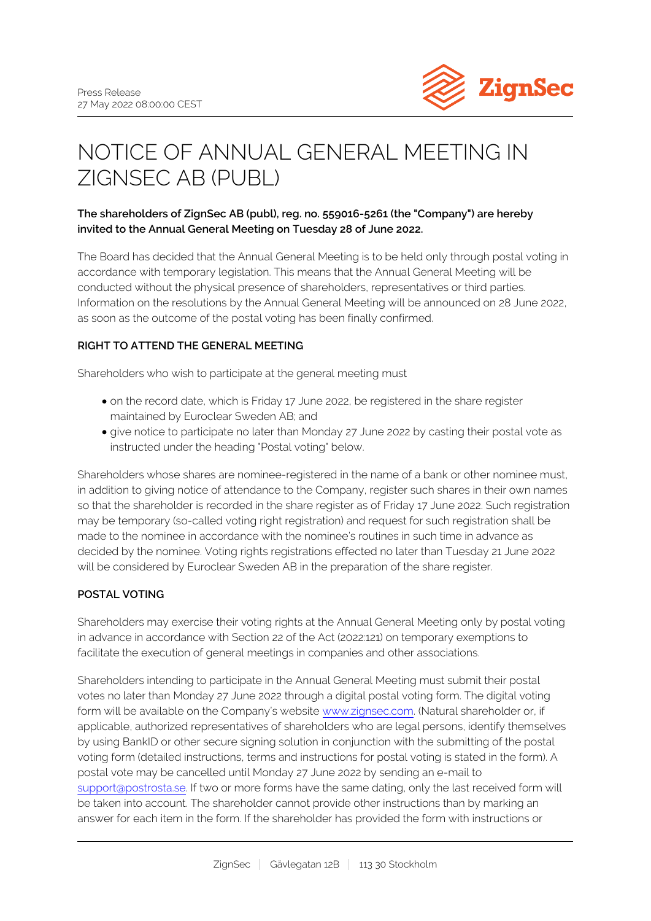

# NOTICE OF ANNUAL GENERAL MEETING IN ZIGNSEC AB (PUBL)

# **The shareholders of ZignSec AB (publ), reg. no. 559016-5261 (the "Company") are hereby invited to the Annual General Meeting on Tuesday 28 of June 2022.**

The Board has decided that the Annual General Meeting is to be held only through postal voting in accordance with temporary legislation. This means that the Annual General Meeting will be conducted without the physical presence of shareholders, representatives or third parties. Information on the resolutions by the Annual General Meeting will be announced on 28 June 2022, as soon as the outcome of the postal voting has been finally confirmed.

# **RIGHT TO ATTEND THE GENERAL MEETING**

Shareholders who wish to participate at the general meeting must

- on the record date, which is Friday 17 June 2022, be registered in the share register maintained by Euroclear Sweden AB; and
- give notice to participate no later than Monday 27 June 2022 by casting their postal vote as instructed under the heading "Postal voting" below.

Shareholders whose shares are nominee-registered in the name of a bank or other nominee must, in addition to giving notice of attendance to the Company, register such shares in their own names so that the shareholder is recorded in the share register as of Friday 17 June 2022. Such registration may be temporary (so-called voting right registration) and request for such registration shall be made to the nominee in accordance with the nominee's routines in such time in advance as decided by the nominee. Voting rights registrations effected no later than Tuesday 21 June 2022 will be considered by Euroclear Sweden AB in the preparation of the share register.

# **POSTAL VOTING**

Shareholders may exercise their voting rights at the Annual General Meeting only by postal voting in advance in accordance with Section 22 of the Act (2022:121) on temporary exemptions to facilitate the execution of general meetings in companies and other associations.

Shareholders intending to participate in the Annual General Meeting must submit their postal votes no later than Monday 27 June 2022 through a digital postal voting form. The digital voting form will be available on the Company's website [www.zignsec.com](http://www.zignsec.com). (Natural shareholder or, if applicable, authorized representatives of shareholders who are legal persons, identify themselves by using BankID or other secure signing solution in conjunction with the submitting of the postal voting form (detailed instructions, terms and instructions for postal voting is stated in the form). A postal vote may be cancelled until Monday 27 June 2022 by sending an e-mail to [support@postrosta.se](mailto:support@postrosta.se). If two or more forms have the same dating, only the last received form will be taken into account. The shareholder cannot provide other instructions than by marking an answer for each item in the form. If the shareholder has provided the form with instructions or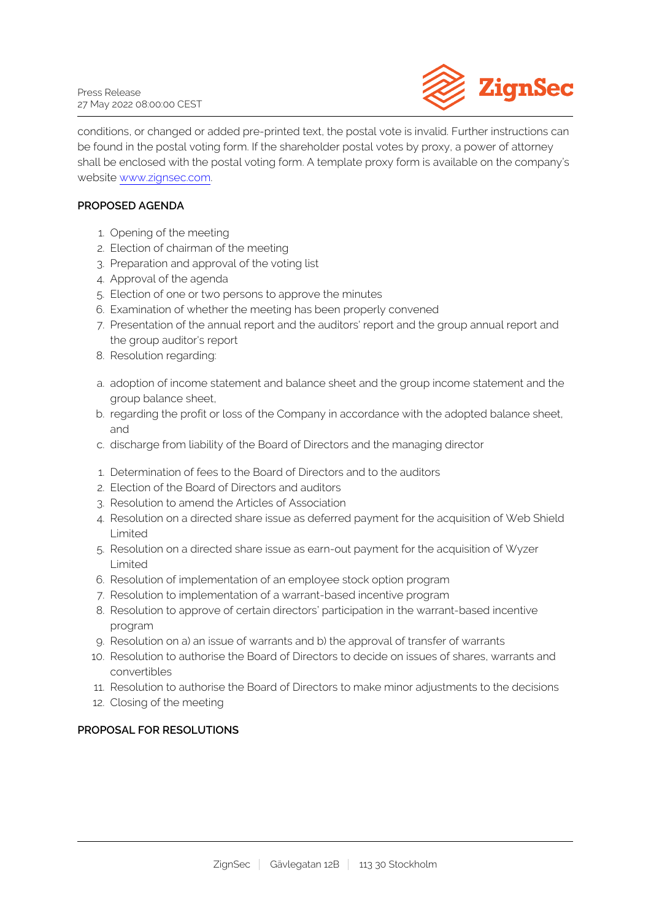

conditions, or changed or added pre-printed text, the postal vote is invalid. Further instructions can be found in the postal voting form. If the shareholder postal votes by proxy, a power of attorney shall be enclosed with the postal voting form. A template proxy form is available on the company's website [www.zignsec.com.](http://www.zignsec.com)

## **PROPOSED AGENDA**

- 1. Opening of the meeting
- 2. Election of chairman of the meeting
- 3. Preparation and approval of the voting list
- 4. Approval of the agenda
- 5. Election of one or two persons to approve the minutes
- 6. Examination of whether the meeting has been properly convened
- 7. Presentation of the annual report and the auditors' report and the group annual report and the group auditor's report
- 8. Resolution regarding:
- a. adoption of income statement and balance sheet and the group income statement and the group balance sheet,
- b. regarding the profit or loss of the Company in accordance with the adopted balance sheet, and
- c. discharge from liability of the Board of Directors and the managing director
- 1. Determination of fees to the Board of Directors and to the auditors
- 2. Election of the Board of Directors and auditors
- 3. Resolution to amend the Articles of Association
- 4. Resolution on a directed share issue as deferred payment for the acquisition of Web Shield Limited
- 5. Resolution on a directed share issue as earn-out payment for the acquisition of Wyzer Limited
- 6. Resolution of implementation of an employee stock option program
- 7. Resolution to implementation of a warrant-based incentive program
- 8. Resolution to approve of certain directors' participation in the warrant-based incentive program
- 9. Resolution on a) an issue of warrants and b) the approval of transfer of warrants
- 10. Resolution to authorise the Board of Directors to decide on issues of shares, warrants and convertibles
- 11. Resolution to authorise the Board of Directors to make minor adjustments to the decisions
- 12. Closing of the meeting

## **PROPOSAL FOR RESOLUTIONS**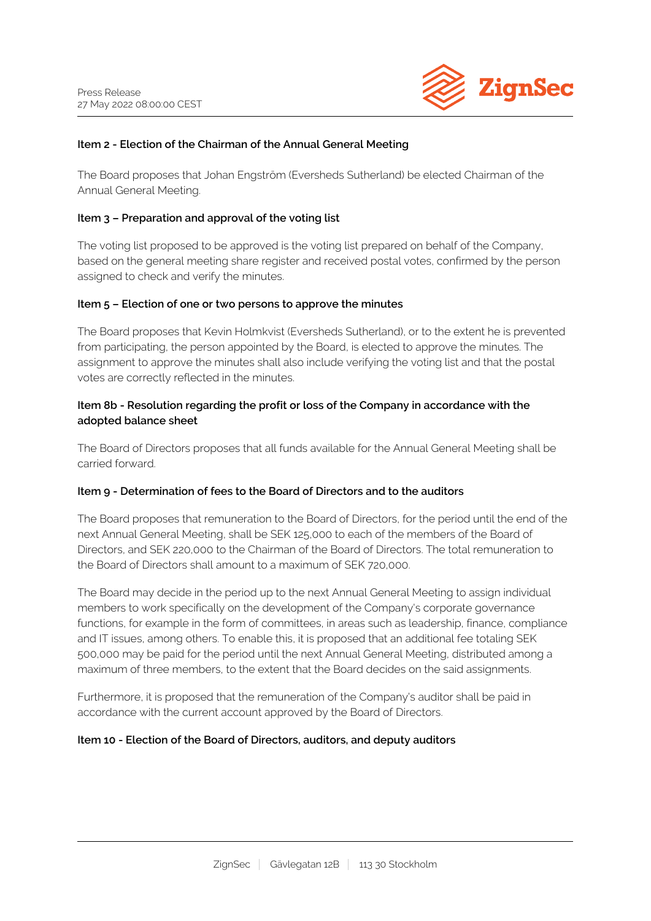

## **Item 2 - Election of the Chairman of the Annual General Meeting**

The Board proposes that Johan Engström (Eversheds Sutherland) be elected Chairman of the Annual General Meeting.

### **Item 3 – Preparation and approval of the voting list**

The voting list proposed to be approved is the voting list prepared on behalf of the Company, based on the general meeting share register and received postal votes, confirmed by the person assigned to check and verify the minutes.

#### **Item 5 – Election of one or two persons to approve the minutes**

The Board proposes that Kevin Holmkvist (Eversheds Sutherland), or to the extent he is prevented from participating, the person appointed by the Board, is elected to approve the minutes. The assignment to approve the minutes shall also include verifying the voting list and that the postal votes are correctly reflected in the minutes.

## **Item 8b - Resolution regarding the profit or loss of the Company in accordance with the adopted balance sheet**

The Board of Directors proposes that all funds available for the Annual General Meeting shall be carried forward.

## **Item 9 - Determination of fees to the Board of Directors and to the auditors**

The Board proposes that remuneration to the Board of Directors, for the period until the end of the next Annual General Meeting, shall be SEK 125,000 to each of the members of the Board of Directors, and SEK 220,000 to the Chairman of the Board of Directors. The total remuneration to the Board of Directors shall amount to a maximum of SEK 720,000.

The Board may decide in the period up to the next Annual General Meeting to assign individual members to work specifically on the development of the Company's corporate governance functions, for example in the form of committees, in areas such as leadership, finance, compliance and IT issues, among others. To enable this, it is proposed that an additional fee totaling SEK 500,000 may be paid for the period until the next Annual General Meeting, distributed among a maximum of three members, to the extent that the Board decides on the said assignments.

Furthermore, it is proposed that the remuneration of the Company's auditor shall be paid in accordance with the current account approved by the Board of Directors.

#### **Item 10 - Election of the Board of Directors, auditors, and deputy auditors**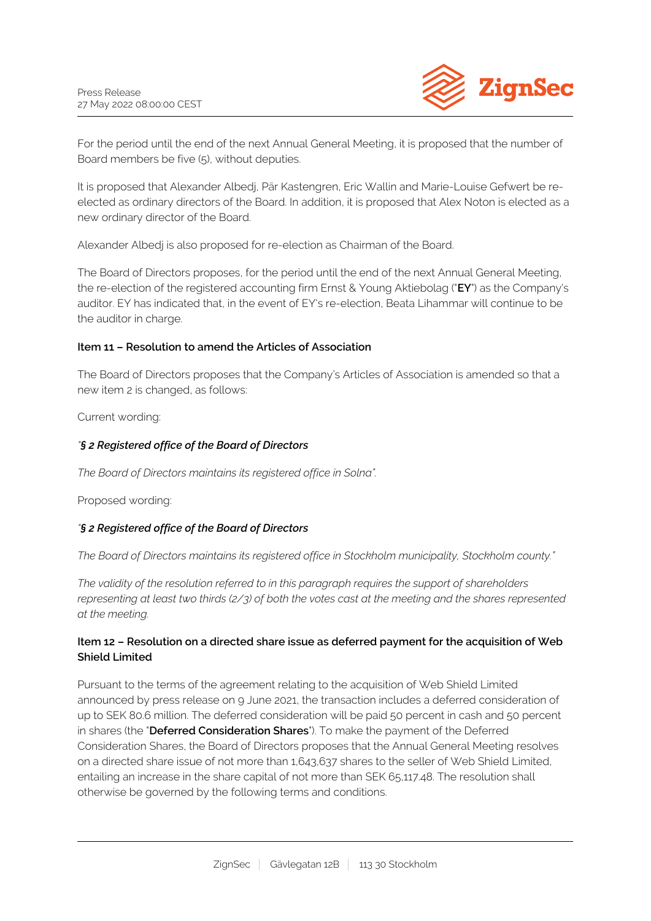

For the period until the end of the next Annual General Meeting, it is proposed that the number of Board members be five (5), without deputies.

It is proposed that Alexander Albedj, Pär Kastengren, Eric Wallin and Marie-Louise Gefwert be reelected as ordinary directors of the Board. In addition, it is proposed that Alex Noton is elected as a new ordinary director of the Board.

Alexander Albedj is also proposed for re-election as Chairman of the Board.

The Board of Directors proposes, for the period until the end of the next Annual General Meeting, the re-election of the registered accounting firm Ernst & Young Aktiebolag ("**EY**") as the Company's auditor. EY has indicated that, in the event of EY's re-election, Beata Lihammar will continue to be the auditor in charge.

# **Item 11 – Resolution to amend the Articles of Association**

The Board of Directors proposes that the Company's Articles of Association is amended so that a new item 2 is changed, as follows:

Current wording:

# *"§ 2 Registered office of the Board of Directors*

*The Board of Directors maintains its registered office in Solna".*

Proposed wording:

# *"§ 2 Registered office of the Board of Directors*

*The Board of Directors maintains its registered office in Stockholm municipality, Stockholm county."*

*The validity of the resolution referred to in this paragraph requires the support of shareholders representing at least two thirds (2/3) of both the votes cast at the meeting and the shares represented at the meeting.*

# **Item 12 – Resolution on a directed share issue as deferred payment for the acquisition of Web Shield Limited**

Pursuant to the terms of the agreement relating to the acquisition of Web Shield Limited announced by press release on 9 June 2021, the transaction includes a deferred consideration of up to SEK 80.6 million. The deferred consideration will be paid 50 percent in cash and 50 percent in shares (the "**Deferred Consideration Shares**"). To make the payment of the Deferred Consideration Shares, the Board of Directors proposes that the Annual General Meeting resolves on a directed share issue of not more than 1,643,637 shares to the seller of Web Shield Limited, entailing an increase in the share capital of not more than SEK 65,117.48. The resolution shall otherwise be governed by the following terms and conditions.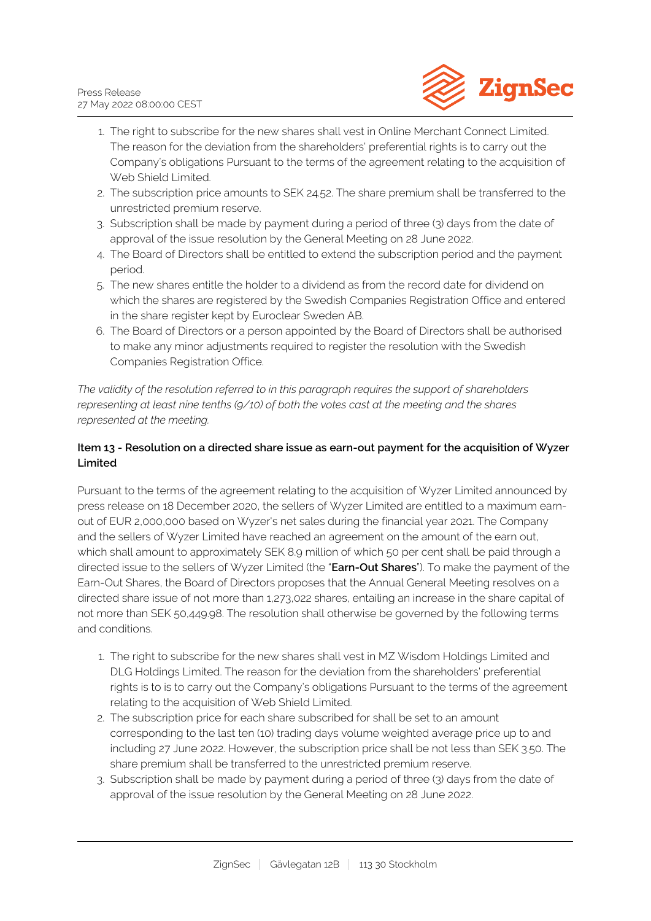

- 1. The right to subscribe for the new shares shall vest in Online Merchant Connect Limited. The reason for the deviation from the shareholders' preferential rights is to carry out the Company's obligations Pursuant to the terms of the agreement relating to the acquisition of Web Shield Limited.
- 2. The subscription price amounts to SEK 24.52. The share premium shall be transferred to the unrestricted premium reserve.
- 3. Subscription shall be made by payment during a period of three (3) days from the date of approval of the issue resolution by the General Meeting on 28 June 2022.
- 4. The Board of Directors shall be entitled to extend the subscription period and the payment period.
- 5. The new shares entitle the holder to a dividend as from the record date for dividend on which the shares are registered by the Swedish Companies Registration Office and entered in the share register kept by Euroclear Sweden AB.
- 6. The Board of Directors or a person appointed by the Board of Directors shall be authorised to make any minor adjustments required to register the resolution with the Swedish Companies Registration Office.

*The validity of the resolution referred to in this paragraph requires the support of shareholders representing at least nine tenths (9/10) of both the votes cast at the meeting and the shares represented at the meeting.*

# **Item 13 - Resolution on a directed share issue as earn-out payment for the acquisition of Wyzer Limited**

Pursuant to the terms of the agreement relating to the acquisition of Wyzer Limited announced by press release on 18 December 2020, the sellers of Wyzer Limited are entitled to a maximum earnout of EUR 2,000,000 based on Wyzer's net sales during the financial year 2021. The Company and the sellers of Wyzer Limited have reached an agreement on the amount of the earn out, which shall amount to approximately SEK 8.9 million of which 50 per cent shall be paid through a directed issue to the sellers of Wyzer Limited (the "**Earn-Out Shares**"). To make the payment of the Earn-Out Shares, the Board of Directors proposes that the Annual General Meeting resolves on a directed share issue of not more than 1,273,022 shares, entailing an increase in the share capital of not more than SEK 50,449.98. The resolution shall otherwise be governed by the following terms and conditions.

- 1. The right to subscribe for the new shares shall vest in MZ Wisdom Holdings Limited and DLG Holdings Limited. The reason for the deviation from the shareholders' preferential rights is to is to carry out the Company's obligations Pursuant to the terms of the agreement relating to the acquisition of Web Shield Limited.
- 2. The subscription price for each share subscribed for shall be set to an amount corresponding to the last ten (10) trading days volume weighted average price up to and including 27 June 2022. However, the subscription price shall be not less than SEK 3.50. The share premium shall be transferred to the unrestricted premium reserve.
- 3. Subscription shall be made by payment during a period of three (3) days from the date of approval of the issue resolution by the General Meeting on 28 June 2022.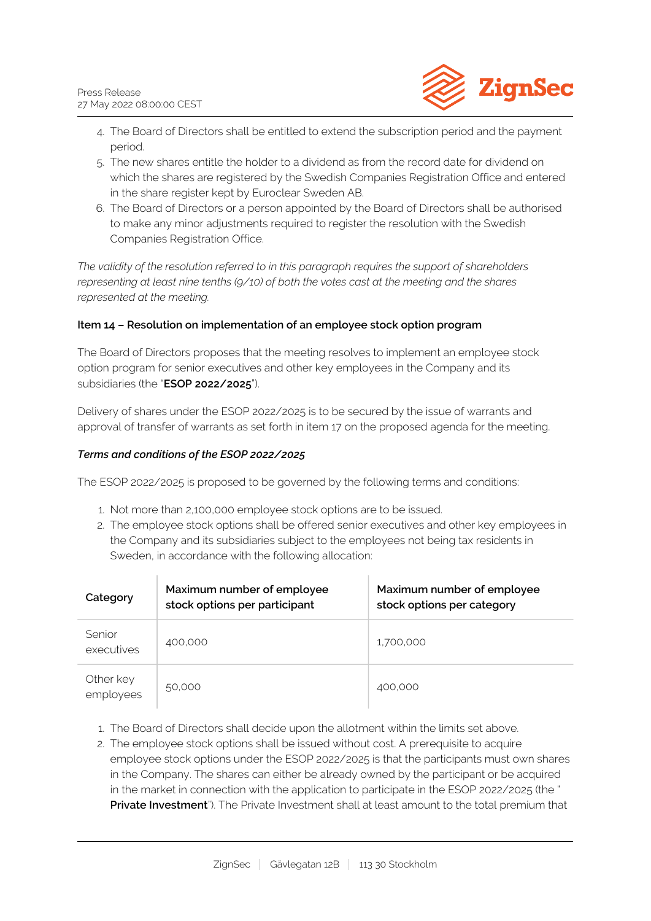

- 4. The Board of Directors shall be entitled to extend the subscription period and the payment period.
- 5. The new shares entitle the holder to a dividend as from the record date for dividend on which the shares are registered by the Swedish Companies Registration Office and entered in the share register kept by Euroclear Sweden AB.
- 6. The Board of Directors or a person appointed by the Board of Directors shall be authorised to make any minor adjustments required to register the resolution with the Swedish Companies Registration Office.

*The validity of the resolution referred to in this paragraph requires the support of shareholders representing at least nine tenths (9/10) of both the votes cast at the meeting and the shares represented at the meeting.*

# **Item 14 – Resolution on implementation of an employee stock option program**

The Board of Directors proposes that the meeting resolves to implement an employee stock option program for senior executives and other key employees in the Company and its subsidiaries (the "**ESOP 2022/2025**").

Delivery of shares under the ESOP 2022/2025 is to be secured by the issue of warrants and approval of transfer of warrants as set forth in item 17 on the proposed agenda for the meeting.

# *Terms and conditions of the ESOP 2022/2025*

The ESOP 2022/2025 is proposed to be governed by the following terms and conditions:

- 1. Not more than 2,100,000 employee stock options are to be issued.
- 2. The employee stock options shall be offered senior executives and other key employees in the Company and its subsidiaries subject to the employees not being tax residents in Sweden, in accordance with the following allocation:

| Category               | Maximum number of employee<br>stock options per participant | Maximum number of employee<br>stock options per category |
|------------------------|-------------------------------------------------------------|----------------------------------------------------------|
| Senior<br>executives   | 400,000                                                     | 1,700,000                                                |
| Other key<br>employees | 50,000                                                      | 400,000                                                  |

- 1. The Board of Directors shall decide upon the allotment within the limits set above.
- 2. The employee stock options shall be issued without cost. A prerequisite to acquire employee stock options under the ESOP 2022/2025 is that the participants must own shares in the Company. The shares can either be already owned by the participant or be acquired in the market in connection with the application to participate in the ESOP 2022/2025 (the " **Private Investment**"). The Private Investment shall at least amount to the total premium that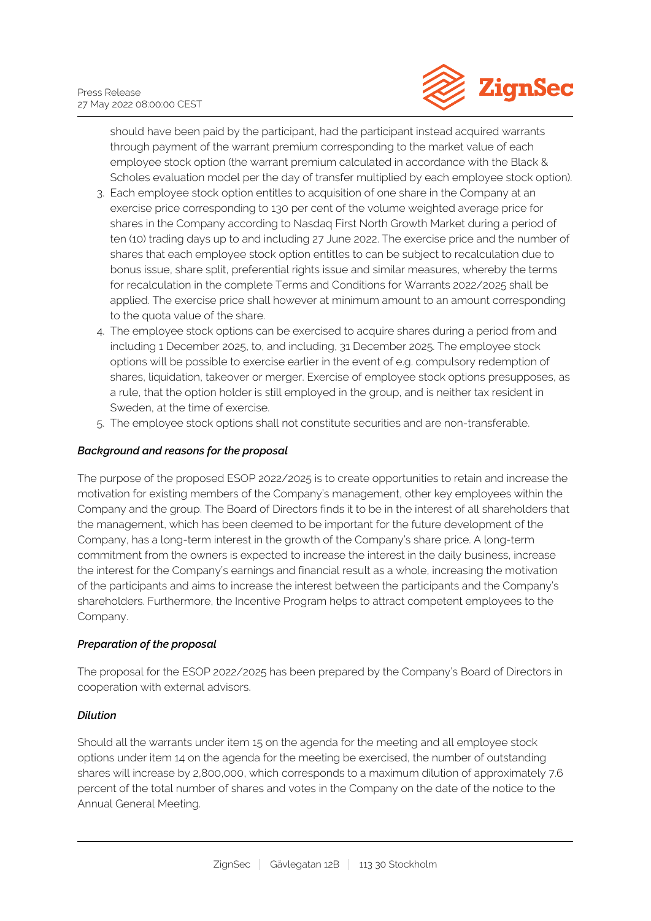

should have been paid by the participant, had the participant instead acquired warrants through payment of the warrant premium corresponding to the market value of each employee stock option (the warrant premium calculated in accordance with the Black & Scholes evaluation model per the day of transfer multiplied by each employee stock option).

- 3. Each employee stock option entitles to acquisition of one share in the Company at an exercise price corresponding to 130 per cent of the volume weighted average price for shares in the Company according to Nasdaq First North Growth Market during a period of ten (10) trading days up to and including 27 June 2022. The exercise price and the number of shares that each employee stock option entitles to can be subject to recalculation due to bonus issue, share split, preferential rights issue and similar measures, whereby the terms for recalculation in the complete Terms and Conditions for Warrants 2022/2025 shall be applied. The exercise price shall however at minimum amount to an amount corresponding to the quota value of the share.
- 4. The employee stock options can be exercised to acquire shares during a period from and including 1 December 2025, to, and including, 31 December 2025. The employee stock options will be possible to exercise earlier in the event of e.g. compulsory redemption of shares, liquidation, takeover or merger. Exercise of employee stock options presupposes, as a rule, that the option holder is still employed in the group, and is neither tax resident in Sweden, at the time of exercise.
- 5. The employee stock options shall not constitute securities and are non-transferable.

# *Background and reasons for the proposal*

The purpose of the proposed ESOP 2022/2025 is to create opportunities to retain and increase the motivation for existing members of the Company's management, other key employees within the Company and the group. The Board of Directors finds it to be in the interest of all shareholders that the management, which has been deemed to be important for the future development of the Company, has a long-term interest in the growth of the Company's share price. A long-term commitment from the owners is expected to increase the interest in the daily business, increase the interest for the Company's earnings and financial result as a whole, increasing the motivation of the participants and aims to increase the interest between the participants and the Company's shareholders. Furthermore, the Incentive Program helps to attract competent employees to the Company.

# *Preparation of the proposal*

The proposal for the ESOP 2022/2025 has been prepared by the Company's Board of Directors in cooperation with external advisors.

# *Dilution*

Should all the warrants under item 15 on the agenda for the meeting and all employee stock options under item 14 on the agenda for the meeting be exercised, the number of outstanding shares will increase by 2,800,000, which corresponds to a maximum dilution of approximately 7.6 percent of the total number of shares and votes in the Company on the date of the notice to the Annual General Meeting.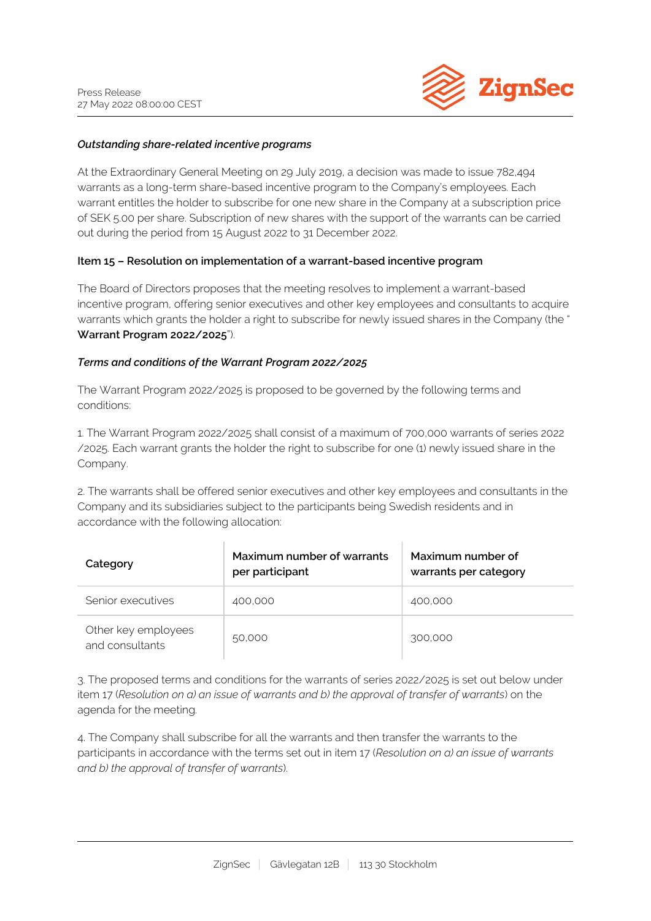

## *Outstanding share-related incentive programs*

At the Extraordinary General Meeting on 29 July 2019, a decision was made to issue 782,494 warrants as a long-term share-based incentive program to the Company's employees. Each warrant entitles the holder to subscribe for one new share in the Company at a subscription price of SEK 5.00 per share. Subscription of new shares with the support of the warrants can be carried out during the period from 15 August 2022 to 31 December 2022.

#### **Item 15 – Resolution on implementation of a warrant-based incentive program**

The Board of Directors proposes that the meeting resolves to implement a warrant-based incentive program, offering senior executives and other key employees and consultants to acquire warrants which grants the holder a right to subscribe for newly issued shares in the Company (the " **Warrant Program 2022/2025**").

#### *Terms and conditions of the Warrant Program 2022/2025*

The Warrant Program 2022/2025 is proposed to be governed by the following terms and conditions:

1. The Warrant Program 2022/2025 shall consist of a maximum of 700,000 warrants of series 2022 /2025. Each warrant grants the holder the right to subscribe for one (1) newly issued share in the Company.

2. The warrants shall be offered senior executives and other key employees and consultants in the Company and its subsidiaries subject to the participants being Swedish residents and in accordance with the following allocation:

| Category                               | Maximum number of warrants<br>per participant | Maximum number of<br>warrants per category |
|----------------------------------------|-----------------------------------------------|--------------------------------------------|
| Senior executives                      | 400,000                                       | 400,000                                    |
| Other key employees<br>and consultants | 50,000                                        | 300,000                                    |

3. The proposed terms and conditions for the warrants of series 2022/2025 is set out below under item 17 (*Resolution on a) an issue of warrants and b) the approval of transfer of warrants*) on the agenda for the meeting.

4. The Company shall subscribe for all the warrants and then transfer the warrants to the participants in accordance with the terms set out in item 17 (*Resolution on a) an issue of warrants and b) the approval of transfer of warrants*).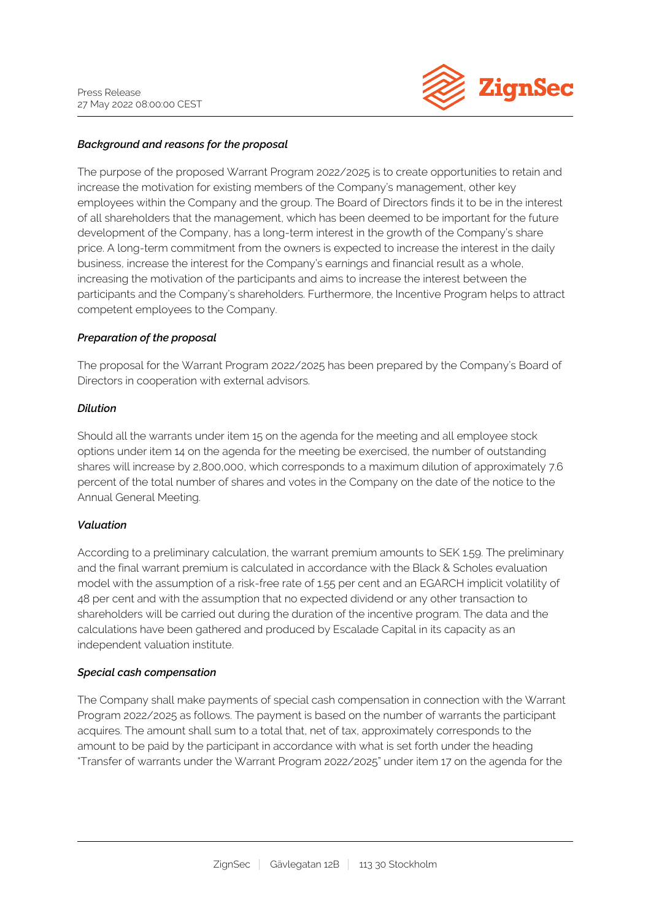

## *Background and reasons for the proposal*

The purpose of the proposed Warrant Program 2022/2025 is to create opportunities to retain and increase the motivation for existing members of the Company's management, other key employees within the Company and the group. The Board of Directors finds it to be in the interest of all shareholders that the management, which has been deemed to be important for the future development of the Company, has a long-term interest in the growth of the Company's share price. A long-term commitment from the owners is expected to increase the interest in the daily business, increase the interest for the Company's earnings and financial result as a whole, increasing the motivation of the participants and aims to increase the interest between the participants and the Company's shareholders. Furthermore, the Incentive Program helps to attract competent employees to the Company.

#### *Preparation of the proposal*

The proposal for the Warrant Program 2022/2025 has been prepared by the Company's Board of Directors in cooperation with external advisors.

#### *Dilution*

Should all the warrants under item 15 on the agenda for the meeting and all employee stock options under item 14 on the agenda for the meeting be exercised, the number of outstanding shares will increase by 2,800,000, which corresponds to a maximum dilution of approximately 7.6 percent of the total number of shares and votes in the Company on the date of the notice to the Annual General Meeting.

## *Valuation*

According to a preliminary calculation, the warrant premium amounts to SEK 1.59. The preliminary and the final warrant premium is calculated in accordance with the Black & Scholes evaluation model with the assumption of a risk-free rate of 1.55 per cent and an EGARCH implicit volatility of 48 per cent and with the assumption that no expected dividend or any other transaction to shareholders will be carried out during the duration of the incentive program. The data and the calculations have been gathered and produced by Escalade Capital in its capacity as an independent valuation institute.

## *Special cash compensation*

The Company shall make payments of special cash compensation in connection with the Warrant Program 2022/2025 as follows. The payment is based on the number of warrants the participant acquires. The amount shall sum to a total that, net of tax, approximately corresponds to the amount to be paid by the participant in accordance with what is set forth under the heading "Transfer of warrants under the Warrant Program 2022/2025" under item 17 on the agenda for the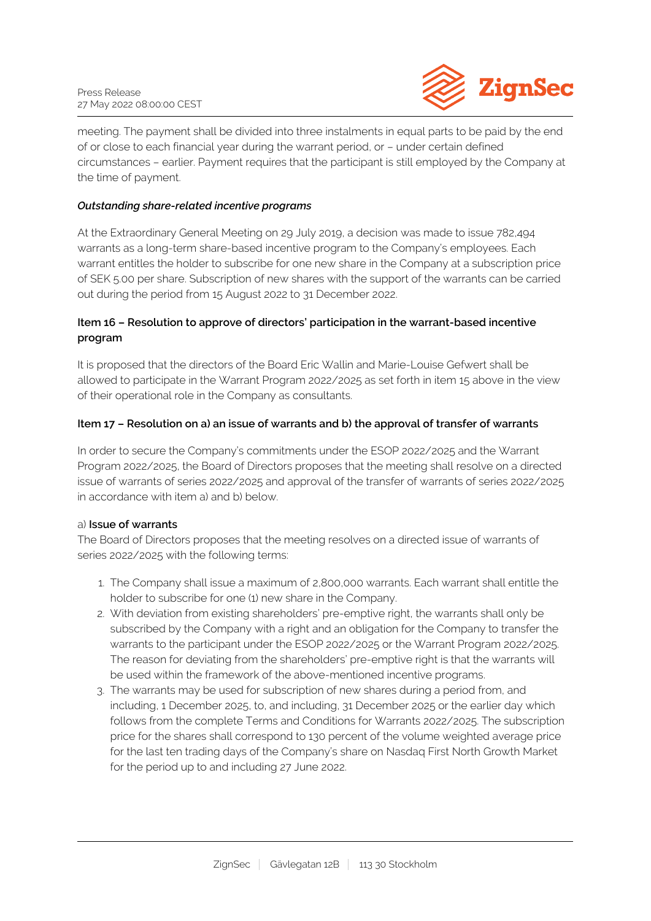

meeting. The payment shall be divided into three instalments in equal parts to be paid by the end of or close to each financial year during the warrant period, or – under certain defined circumstances – earlier. Payment requires that the participant is still employed by the Company at the time of payment.

# *Outstanding share-related incentive programs*

At the Extraordinary General Meeting on 29 July 2019, a decision was made to issue 782,494 warrants as a long-term share-based incentive program to the Company's employees. Each warrant entitles the holder to subscribe for one new share in the Company at a subscription price of SEK 5.00 per share. Subscription of new shares with the support of the warrants can be carried out during the period from 15 August 2022 to 31 December 2022.

# **Item 16 – Resolution to approve of directors' participation in the warrant-based incentive program**

It is proposed that the directors of the Board Eric Wallin and Marie-Louise Gefwert shall be allowed to participate in the Warrant Program 2022/2025 as set forth in item 15 above in the view of their operational role in the Company as consultants.

## **Item 17 – Resolution on a) an issue of warrants and b) the approval of transfer of warrants**

In order to secure the Company's commitments under the ESOP 2022/2025 and the Warrant Program 2022/2025, the Board of Directors proposes that the meeting shall resolve on a directed issue of warrants of series 2022/2025 and approval of the transfer of warrants of series 2022/2025 in accordance with item a) and b) below.

## a) **Issue of warrants**

The Board of Directors proposes that the meeting resolves on a directed issue of warrants of series 2022/2025 with the following terms:

- 1. The Company shall issue a maximum of 2,800,000 warrants. Each warrant shall entitle the holder to subscribe for one (1) new share in the Company.
- 2. With deviation from existing shareholders' pre-emptive right, the warrants shall only be subscribed by the Company with a right and an obligation for the Company to transfer the warrants to the participant under the ESOP 2022/2025 or the Warrant Program 2022/2025. The reason for deviating from the shareholders' pre-emptive right is that the warrants will be used within the framework of the above-mentioned incentive programs.
- 3. The warrants may be used for subscription of new shares during a period from, and including, 1 December 2025, to, and including, 31 December 2025 or the earlier day which follows from the complete Terms and Conditions for Warrants 2022/2025. The subscription price for the shares shall correspond to 130 percent of the volume weighted average price for the last ten trading days of the Company's share on Nasdaq First North Growth Market for the period up to and including 27 June 2022.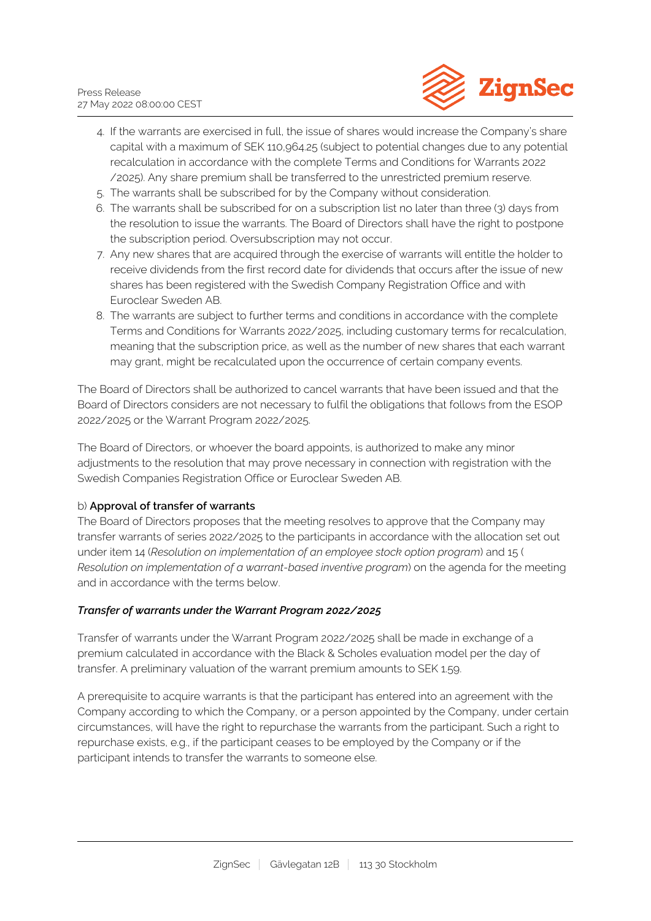

- 4. If the warrants are exercised in full, the issue of shares would increase the Company's share capital with a maximum of SEK 110,964.25 (subject to potential changes due to any potential recalculation in accordance with the complete Terms and Conditions for Warrants 2022 /2025). Any share premium shall be transferred to the unrestricted premium reserve.
- 5. The warrants shall be subscribed for by the Company without consideration.
- 6. The warrants shall be subscribed for on a subscription list no later than three (3) days from the resolution to issue the warrants. The Board of Directors shall have the right to postpone the subscription period. Oversubscription may not occur.
- 7. Any new shares that are acquired through the exercise of warrants will entitle the holder to receive dividends from the first record date for dividends that occurs after the issue of new shares has been registered with the Swedish Company Registration Office and with Euroclear Sweden AB.
- 8. The warrants are subject to further terms and conditions in accordance with the complete Terms and Conditions for Warrants 2022/2025, including customary terms for recalculation, meaning that the subscription price, as well as the number of new shares that each warrant may grant, might be recalculated upon the occurrence of certain company events.

The Board of Directors shall be authorized to cancel warrants that have been issued and that the Board of Directors considers are not necessary to fulfil the obligations that follows from the ESOP 2022/2025 or the Warrant Program 2022/2025.

The Board of Directors, or whoever the board appoints, is authorized to make any minor adjustments to the resolution that may prove necessary in connection with registration with the Swedish Companies Registration Office or Euroclear Sweden AB.

# b) **Approval of transfer of warrants**

The Board of Directors proposes that the meeting resolves to approve that the Company may transfer warrants of series 2022/2025 to the participants in accordance with the allocation set out under item 14 (*Resolution on implementation of an employee stock option program*) and 15 ( *Resolution on implementation of a warrant-based inventive program*) on the agenda for the meeting and in accordance with the terms below.

# *Transfer of warrants under the Warrant Program 2022/2025*

Transfer of warrants under the Warrant Program 2022/2025 shall be made in exchange of a premium calculated in accordance with the Black & Scholes evaluation model per the day of transfer. A preliminary valuation of the warrant premium amounts to SEK 1.59.

A prerequisite to acquire warrants is that the participant has entered into an agreement with the Company according to which the Company, or a person appointed by the Company, under certain circumstances, will have the right to repurchase the warrants from the participant. Such a right to repurchase exists, e.g., if the participant ceases to be employed by the Company or if the participant intends to transfer the warrants to someone else.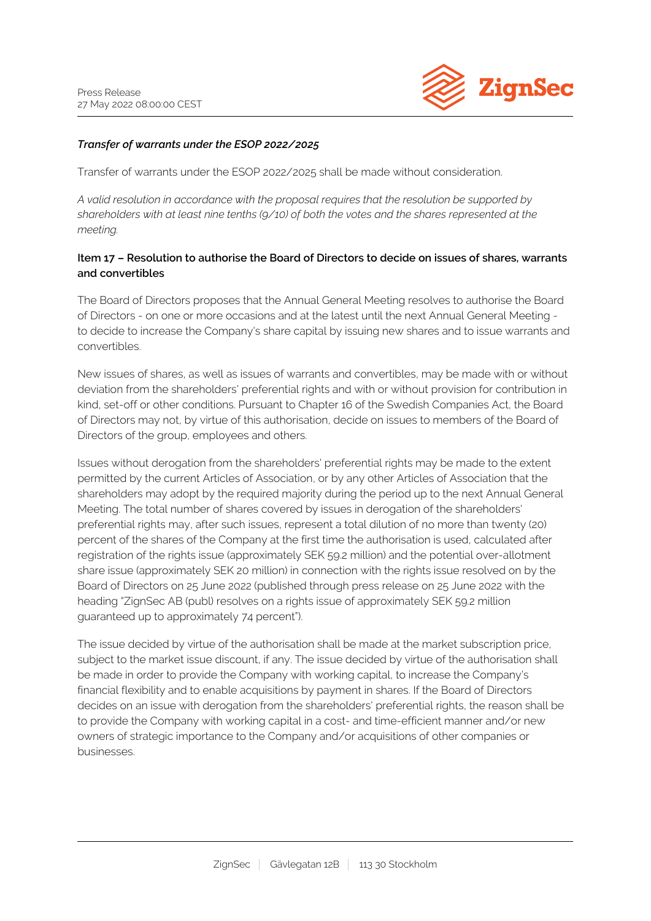

## *Transfer of warrants under the ESOP 2022/2025*

Transfer of warrants under the ESOP 2022/2025 shall be made without consideration.

*A valid resolution in accordance with the proposal requires that the resolution be supported by shareholders with at least nine tenths (9/10) of both the votes and the shares represented at the meeting.*

## **Item 17 – Resolution to authorise the Board of Directors to decide on issues of shares, warrants and convertibles**

The Board of Directors proposes that the Annual General Meeting resolves to authorise the Board of Directors - on one or more occasions and at the latest until the next Annual General Meeting to decide to increase the Company's share capital by issuing new shares and to issue warrants and convertibles.

New issues of shares, as well as issues of warrants and convertibles, may be made with or without deviation from the shareholders' preferential rights and with or without provision for contribution in kind, set-off or other conditions. Pursuant to Chapter 16 of the Swedish Companies Act, the Board of Directors may not, by virtue of this authorisation, decide on issues to members of the Board of Directors of the group, employees and others.

Issues without derogation from the shareholders' preferential rights may be made to the extent permitted by the current Articles of Association, or by any other Articles of Association that the shareholders may adopt by the required majority during the period up to the next Annual General Meeting. The total number of shares covered by issues in derogation of the shareholders' preferential rights may, after such issues, represent a total dilution of no more than twenty (20) percent of the shares of the Company at the first time the authorisation is used, calculated after registration of the rights issue (approximately SEK 59.2 million) and the potential over-allotment share issue (approximately SEK 20 million) in connection with the rights issue resolved on by the Board of Directors on 25 June 2022 (published through press release on 25 June 2022 with the heading "ZignSec AB (publ) resolves on a rights issue of approximately SEK 59.2 million guaranteed up to approximately 74 percent").

The issue decided by virtue of the authorisation shall be made at the market subscription price, subject to the market issue discount, if any. The issue decided by virtue of the authorisation shall be made in order to provide the Company with working capital, to increase the Company's financial flexibility and to enable acquisitions by payment in shares. If the Board of Directors decides on an issue with derogation from the shareholders' preferential rights, the reason shall be to provide the Company with working capital in a cost- and time-efficient manner and/or new owners of strategic importance to the Company and/or acquisitions of other companies or businesses.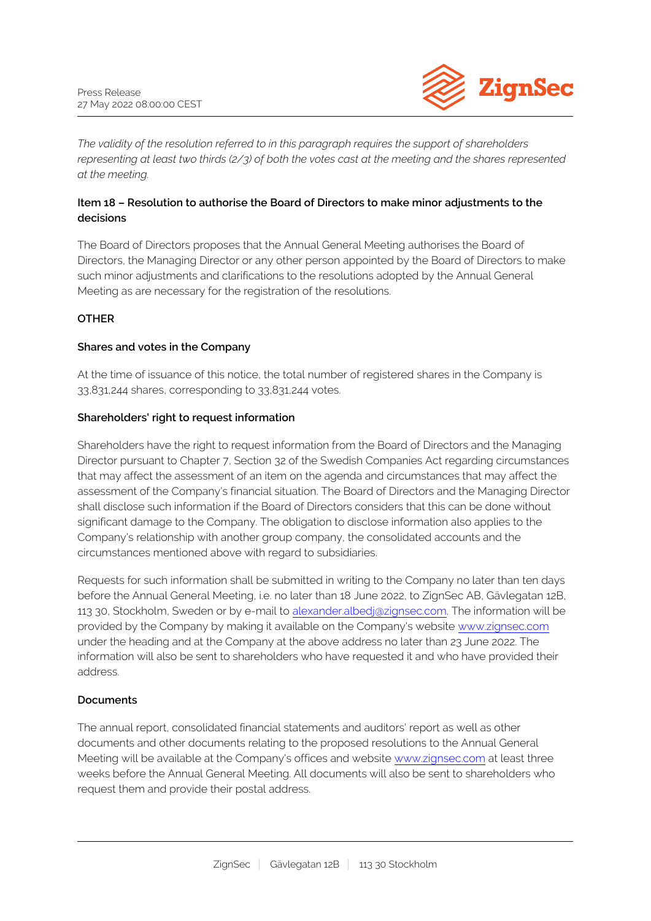

*The validity of the resolution referred to in this paragraph requires the support of shareholders representing at least two thirds (2/3) of both the votes cast at the meeting and the shares represented at the meeting.*

# **Item 18 – Resolution to authorise the Board of Directors to make minor adjustments to the decisions**

The Board of Directors proposes that the Annual General Meeting authorises the Board of Directors, the Managing Director or any other person appointed by the Board of Directors to make such minor adjustments and clarifications to the resolutions adopted by the Annual General Meeting as are necessary for the registration of the resolutions.

# **OTHER**

# **Shares and votes in the Company**

At the time of issuance of this notice, the total number of registered shares in the Company is 33,831,244 shares, corresponding to 33,831,244 votes.

## **Shareholders' right to request information**

Shareholders have the right to request information from the Board of Directors and the Managing Director pursuant to Chapter 7, Section 32 of the Swedish Companies Act regarding circumstances that may affect the assessment of an item on the agenda and circumstances that may affect the assessment of the Company's financial situation. The Board of Directors and the Managing Director shall disclose such information if the Board of Directors considers that this can be done without significant damage to the Company. The obligation to disclose information also applies to the Company's relationship with another group company, the consolidated accounts and the circumstances mentioned above with regard to subsidiaries.

Requests for such information shall be submitted in writing to the Company no later than ten days before the Annual General Meeting, i.e. no later than 18 June 2022, to ZignSec AB, Gävlegatan 12B, 113 30, Stockholm, Sweden or by e-mail to [alexander.albedj@zignsec.com.](mailto:alexander.albedj@zignsec.com) The information will be provided by the Company by making it available on the Company's website [www.zignsec.com](http:///) under the heading and at the Company at the above address no later than 23 June 2022. The information will also be sent to shareholders who have requested it and who have provided their address.

# **Documents**

The annual report, consolidated financial statements and auditors' report as well as other documents and other documents relating to the proposed resolutions to the Annual General Meeting will be available at the Company's offices and website [www.zignsec.com](http://htt) at least three weeks before the Annual General Meeting. All documents will also be sent to shareholders who request them and provide their postal address.